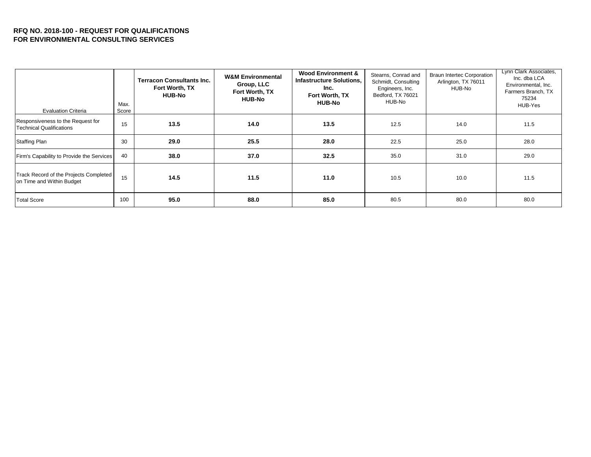## **RFQ NO. 2018-100 - REQUEST FOR QUALIFICATIONS FOR ENVIRONMENTAL CONSULTING SERVICES**

| <b>Evaluation Criteria</b>                                           | Max.<br>Score | <b>Terracon Consultants Inc.</b><br>Fort Worth, TX<br><b>HUB-No</b> | <b>W&amp;M Environmental</b><br>Group, LLC<br>Fort Worth, TX<br><b>HUB-No</b> | <b>Wood Environment &amp;</b><br><b>Infastructure Solutions.</b><br>Inc.<br>Fort Worth, TX<br><b>HUB-No</b> | Stearns, Conrad and<br>Schmidt, Consulting<br>Engineers, Inc.<br>Bedford, TX 76021<br>HUB-No | <b>Braun Intertec Corporation</b><br>Arlington, TX 76011<br>HUB-No | Lynn Clark Associates,<br>Inc. dba LCA<br>Environmental, Inc.<br>Farmers Branch, TX<br>75234<br>HUB-Yes |
|----------------------------------------------------------------------|---------------|---------------------------------------------------------------------|-------------------------------------------------------------------------------|-------------------------------------------------------------------------------------------------------------|----------------------------------------------------------------------------------------------|--------------------------------------------------------------------|---------------------------------------------------------------------------------------------------------|
| Responsiveness to the Request for<br><b>Technical Qualifications</b> | 15            | 13.5                                                                | 14.0                                                                          | 13.5                                                                                                        | 12.5                                                                                         | 14.0                                                               | 11.5                                                                                                    |
| <b>Staffing Plan</b>                                                 | 30            | 29.0                                                                | 25.5                                                                          | 28.0                                                                                                        | 22.5                                                                                         | 25.0                                                               | 28.0                                                                                                    |
| Firm's Capability to Provide the Services                            | 40            | 38.0                                                                | 37.0                                                                          | 32.5                                                                                                        | 35.0                                                                                         | 31.0                                                               | 29.0                                                                                                    |
| Track Record of the Projects Completed<br>on Time and Within Budget  | 15            | 14.5                                                                | 11.5                                                                          | 11.0                                                                                                        | 10.5                                                                                         | 10.0                                                               | 11.5                                                                                                    |
| <b>Total Score</b>                                                   | 100           | 95.0                                                                | 88.0                                                                          | 85.0                                                                                                        | 80.5                                                                                         | 80.0                                                               | 80.0                                                                                                    |